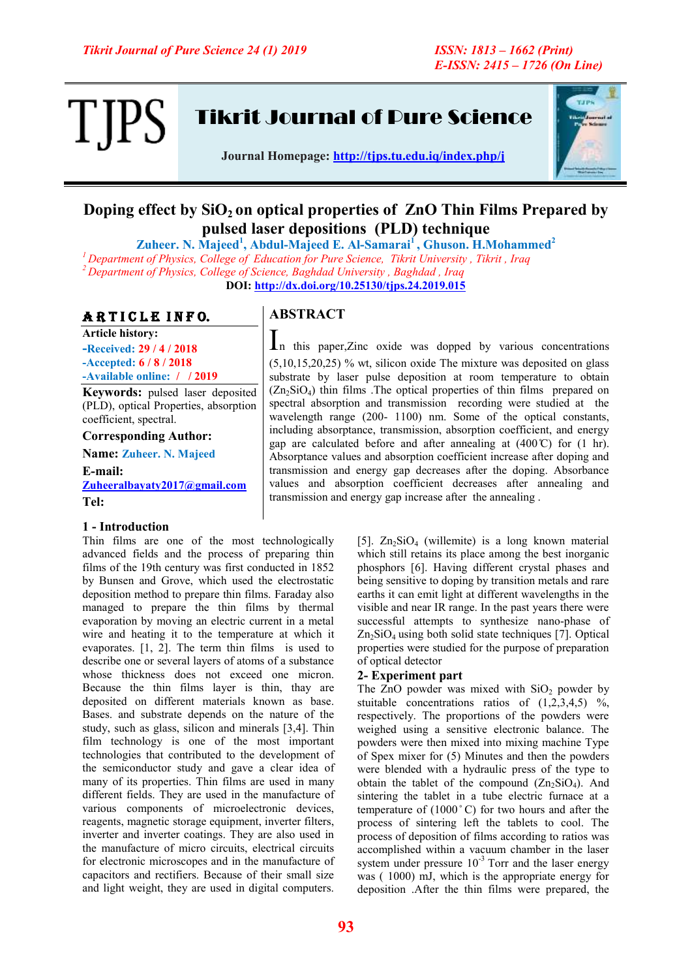TJP.

Tikrit Journal of Pure Science

**Journal Homepage:<http://tjps.tu.edu.iq/index.php/j>**



## **Doping effect by SiO2 on optical properties of ZnO Thin Films Prepared by pulsed laser depositions (PLD) technique**

**Zuheer. N. Majeed<sup>1</sup> , Abdul-Majeed E. Al-Samarai<sup>1</sup> , Ghuson. H.Mohammed<sup>2</sup>** *<sup>1</sup>Department of Physics, College of Education for Pure Science, Tikrit University , Tikrit , Iraq <sup>2</sup>Department of Physics, College of Science, Baghdad University , Baghdad , Iraq* **DOI:<http://dx.doi.org/10.25130/tjps.24.2019.015>** 

## ARTICLE INFO.

**Article history: -Received: 29 / 4 / 2018 -Accepted: 6 / 8 / 2018 -Available online: / / 2019**

**Keywords:** pulsed laser deposited (PLD), optical Properties, absorption coefficient, spectral.

**Corresponding Author:**

**Name: Zuheer. N. Majeed**

**E-mail:** 

**[Zuheeralbayaty2017@gmail.com](mailto:Zuheeralbayaty2017@gmail.com) Tel:**

#### **1 - Introduction**

Thin films are one of the most technologically advanced fields and the process of preparing thin films of the 19th century was first conducted in 1852 by Bunsen and Grove, which used the electrostatic deposition method to prepare thin films. Faraday also managed to prepare the thin films by thermal evaporation by moving an electric current in a metal wire and heating it to the temperature at which it evaporates. [1, 2]. The term thin films is used to describe one or several layers of atoms of a substance whose thickness does not exceed one micron. Because the thin films layer is thin, thay are deposited on different materials known as base. Bases. and substrate depends on the nature of the study, such as glass, silicon and minerals [3,4]. Thin film technology is one of the most important technologies that contributed to the development of the semiconductor study and gave a clear idea of many of its properties. Thin films are used in many different fields. They are used in the manufacture of various components of microelectronic devices, reagents, magnetic storage equipment, inverter filters, inverter and inverter coatings. They are also used in the manufacture of micro circuits, electrical circuits for electronic microscopes and in the manufacture of capacitors and rectifiers. Because of their small size and light weight, they are used in digital computers.

### **ABSTRACT**

In this paper,Zinc oxide was dopped by various concentrations  $(5,10,15,20,25)$  % wt, silicon oxide The mixture was deposited on glass substrate by laser pulse deposition at room temperature to obtain  $(Zn_2SiO_4)$  thin films . The optical properties of thin films prepared on spectral absorption and transmission recording were studied at the wavelength range (200- 1100) nm. Some of the optical constants, including absorptance, transmission, absorption coefficient, and energy gap are calculated before and after annealing at  $(400 \degree C)$  for  $(1 \text{ hr})$ . Absorptance values and absorption coefficient increase after doping and transmission and energy gap decreases after the doping. Absorbance values and absorption coefficient decreases after annealing and transmission and energy gap increase after the annealing .

> [5].  $Zn_2SiO_4$  (willemite) is a long known material which still retains its place among the best inorganic phosphors [6]. Having different crystal phases and being sensitive to doping by transition metals and rare earths it can emit light at different wavelengths in the visible and near IR range. In the past years there were successful attempts to synthesize nano-phase of  $Zn<sub>2</sub>SiO<sub>4</sub>$  using both solid state techniques [7]. Optical properties were studied for the purpose of preparation of optical detector

#### **2- Experiment part**

The ZnO powder was mixed with  $SiO<sub>2</sub>$  powder by stuitable concentrations ratios of  $(1,2,3,4,5)$  %, respectively. The proportions of the powders were weighed using a sensitive electronic balance. The powders were then mixed into mixing machine Type of Spex mixer for (5) Minutes and then the powders were blended with a hydraulic press of the type to obtain the tablet of the compound  $(Zn_2SiO<sub>4</sub>)$ . And sintering the tablet in a tube electric furnace at a temperature of  $(1000 \degree C)$  for two hours and after the process of sintering left the tablets to cool. The process of deposition of films according to ratios was accomplished within a vacuum chamber in the laser system under pressure  $10^{-3}$  Torr and the laser energy was ( 1000) mJ, which is the appropriate energy for deposition . After the thin films were prepared, the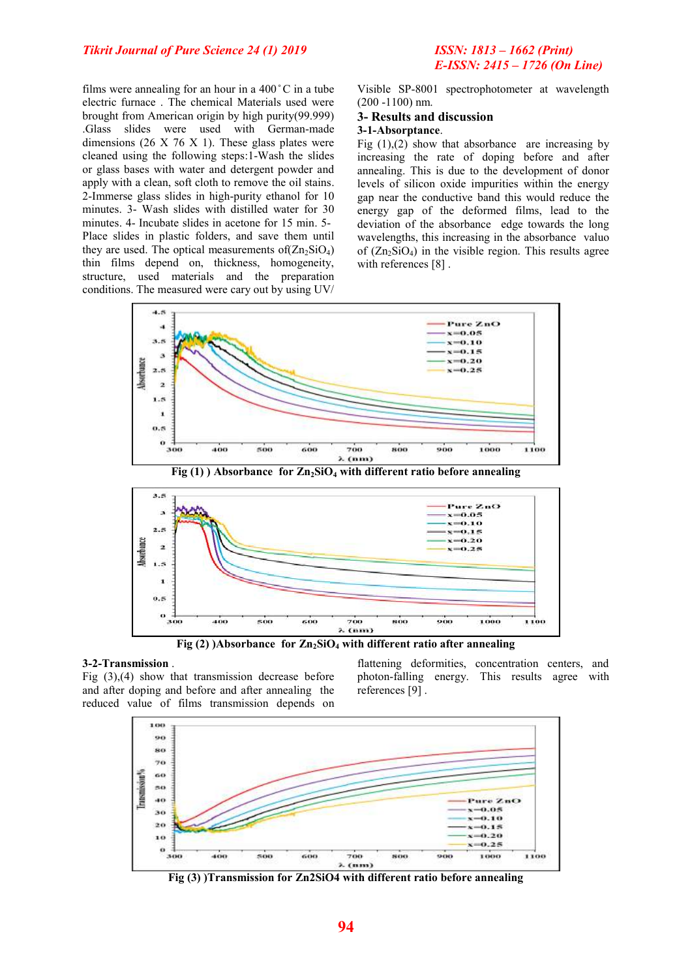#### *Tikrit Journal of Pure Science 24 (1) 2019 ISSN: 1813 – 1662 (Print)*

films were annealing for an hour in a  $400\degree C$  in a tube electric furnace . The chemical Materials used were brought from American origin by high purity(99.999) .Glass slides were used with German-made dimensions  $(26 \times 76 \times 1)$ . These glass plates were cleaned using the following steps:1-Wash the slides or glass bases with water and detergent powder and apply with a clean, soft cloth to remove the oil stains. 2-Immerse glass slides in high-purity ethanol for 10 minutes. 3- Wash slides with distilled water for 30 minutes. 4- Incubate slides in acetone for 15 min. 5- Place slides in plastic folders, and save them until they are used. The optical measurements of  $(Zn_2SiO_4)$ thin films depend on, thickness, homogeneity, structure, used materials and the preparation conditions. The measured were cary out by using UV/

Visible SP-8001 spectrophotometer at wavelength (200 -1100) nm.

## **3- Results and discussion**

## **3-1-Absorptance**.

Fig  $(1)$ , $(2)$  show that absorbance are increasing by increasing the rate of doping before and after annealing. This is due to the development of donor levels of silicon oxide impurities within the energy gap near the conductive band this would reduce the energy gap of the deformed films, lead to the deviation of the absorbance edge towards the long wavelengths, this increasing in the absorbance valuo of  $(Zn_2SiO_4)$  in the visible region. This results agree with references [8] .



#### **3-2-Transmission** .

Fig  $(3)$ , $(4)$  show that transmission decrease before and after doping and before and after annealing the reduced value of films transmission depends on

flattening deformities, concentration centers, and photon-falling energy. This results agree with references [9] .



**Fig (3) )Transmission for Zn2SiO4 with different ratio before annealing**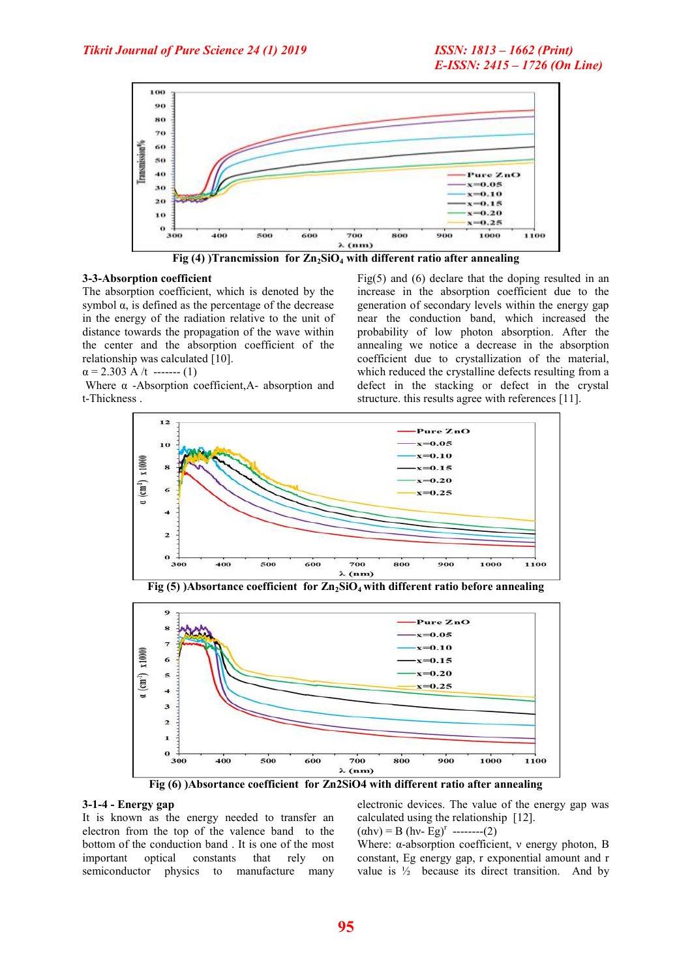

**Fig (4) )Trancmission for Zn2SiO<sup>4</sup> with different ratio after annealing**

#### **3-3-Absorption coefficient**

The absorption coefficient, which is denoted by the symbol  $\alpha$ , is defined as the percentage of the decrease in the energy of the radiation relative to the unit of distance towards the propagation of the wave within the center and the absorption coefficient of the relationship was calculated [10].

### $\alpha$  = 2.303 A/t ------- (1)

Where  $\alpha$  -Absorption coefficient.A- absorption and t-Thickness .

Fig(5) and (6) declare that the doping resulted in an increase in the absorption coefficient due to the generation of secondary levels within the energy gap near the conduction band, which increased the probability of low photon absorption. After the annealing we notice a decrease in the absorption coefficient due to crystallization of the material, which reduced the crystalline defects resulting from a defect in the stacking or defect in the crystal structure. this results agree with references [11].



**Fig (5) )Absortance coefficient for Zn2SiO4 with different ratio before annealing**



**Fig (6) )Absortance coefficient for Zn2SiO4 with different ratio after annealing**

#### **3-1-4 - Energy gap**

It is known as the energy needed to transfer an electron from the top of the valence band to the bottom of the conduction band . It is one of the most important optical constants that rely on semiconductor physics to manufacture many

electronic devices. The value of the energy gap was calculated using the relationship [12].

 $(\text{ahv}) = B (\text{hv} - \text{Eg})^r$  --------(2)

Where:  $\alpha$ -absorption coefficient,  $\nu$  energy photon, B constant, Eg energy gap, r exponential amount and r value is  $\frac{1}{2}$  because its direct transition. And by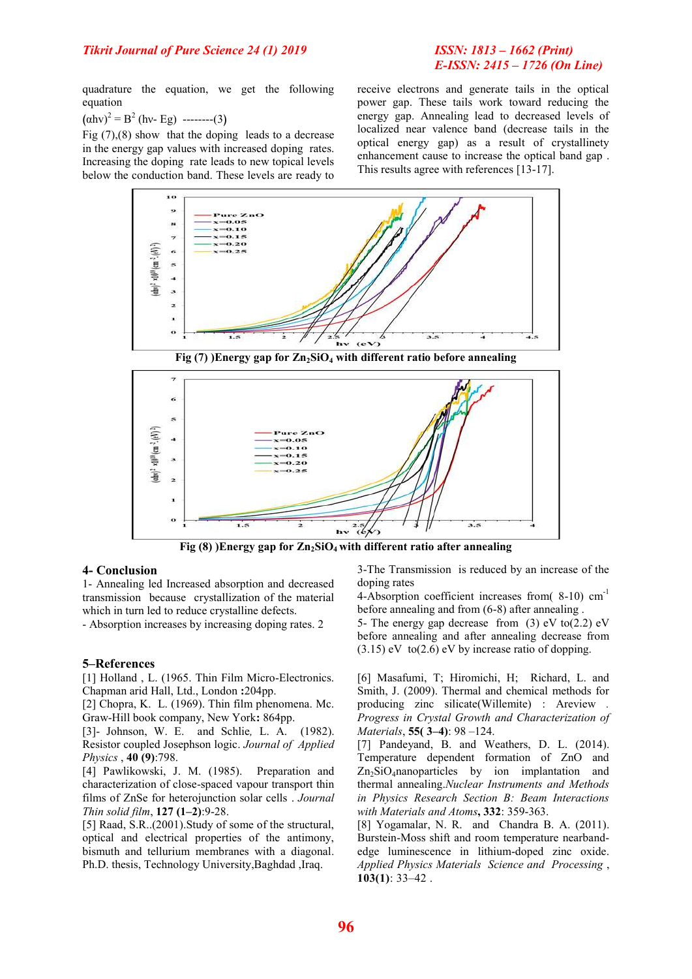## *E-ISSN: 2415 – 1726 (On Line)*

quadrature the equation, we get the following equation

$$
(ahv)^2 = B^2 (hv - Eg)
$$
 -----(3)

Fig  $(7)$ , $(8)$  show that the doping leads to a decrease in the energy gap values with increased doping rates. Increasing the doping rate leads to new topical levels below the conduction band. These levels are ready to

receive electrons and generate tails in the optical power gap. These tails work toward reducing the energy gap. Annealing lead to decreased levels of localized near valence band (decrease tails in the optical energy gap) as a result of crystallinety enhancement cause to increase the optical band gap . This results agree with references [13-17].



**Fig (7) )Energy gap for Zn2SiO<sup>4</sup> with different ratio before annealing**



**Fig (8) )Energy gap for Zn2SiO4 with different ratio after annealing**

#### **4- Conclusion**

1- Annealing led Increased absorption and decreased transmission because crystallization of the material which in turn led to reduce crystalline defects.

- Absorption increases by increasing doping rates. 2

#### **5–References**

[1] Holland, L. (1965. Thin Film Micro-Electronics. Chapman arid Hall, Ltd., London **:**204pp.

[2] Chopra, K. L. (1969). Thin film phenomena. Mc. Graw-Hill book company, New York**:** 864pp.

[3]- Johnson, [W. E.](https://aip.scitation.org/author/Johnson%2C+W+E) and Schlie*,* [L. A.](https://aip.scitation.org/author/Schlie%2C+L+A) (1982). Resistor coupled Josephson logic. *Journal of Applied Physics* , **40 (9)**:798.

[4] Pawlikowski, J. M. (1985). Preparation and characterization of close-spaced vapour transport thin films of ZnSe for heterojunction solar cells . *Journal Thin solid film*, **127 (1–2)**:9-28.

[5] Raad, S.R..(2001).Study of some of the structural, optical and electrical properties of the antimony, bismuth and tellurium membranes with a diagonal. Ph.D. thesis, Technology University,Baghdad ,Iraq.

3-The Transmission is reduced by an increase of the doping rates

4-Absorption coefficient increases from( 8-10) cm-1 before annealing and from (6-8) after annealing .

5- The energy gap decrease from (3) eV to(2.2) eV before annealing and after annealing decrease from  $(3.15)$  eV to $(2.6)$  eV by increase ratio of dopping.

[6] Masafumi, T; Hiromichi, H; Richard, L. and Smith, J. (2009). Thermal and chemical methods for producing zinc silicate(Willemite) : Areview *. [Progress in Crystal Growth and Characterization of](https://www.sciencedirect.com/science/journal/09608974)  [Materials](https://www.sciencedirect.com/science/journal/09608974)*, **55( 3–4)**: 98 –124.

[7] Pandeyand, B. and Weathers, D. L. (2014). Temperature dependent formation of ZnO and Zn<sub>2</sub>SiO<sub>4</sub>nanoparticles by ion implantation and thermal annealing.*[Nuclear Instruments and Methods](https://www.sciencedirect.com/science/journal/0168583X)  [in Physics Research Section B: Beam Interactions](https://www.sciencedirect.com/science/journal/0168583X)  [with Materials and Atoms](https://www.sciencedirect.com/science/journal/0168583X)***, [332](https://www.sciencedirect.com/science/journal/0168583X/332/supp/C)**: 359-363.

[8] Yogamalar, N. R. and Chandra B. A. (2011). Burstein-Moss shift and room temperature nearbandedge luminescence in lithium-doped zinc oxide. *Applied Physics Materials Science and Processing* , **103[\(1\)](https://link.springer.com/journal/339/103/1/page/1)**: 33–42 .